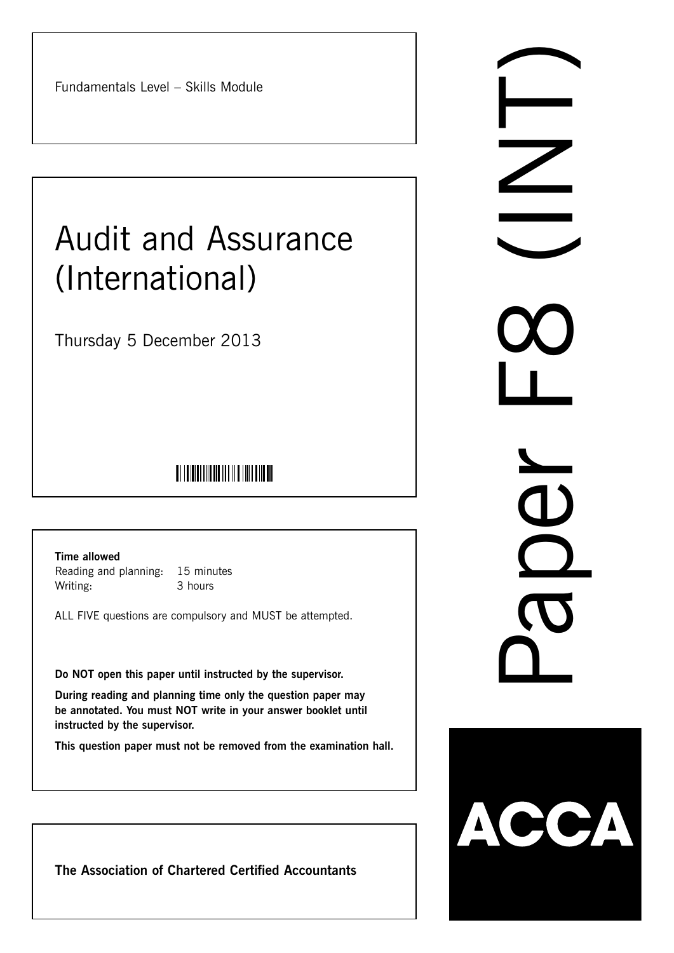Fundamentals Level – Skills Module

# Audit and Assurance (International)

Thursday 5 December 2013

# 

Naper Co

1

 $\bigcap$ 

X

 $\Delta$ 

 $\bullet$ 

**Time allowed**

Reading and planning: 15 minutes Writing: 3 hours

ALL FIVE questions are compulsory and MUST be attempted.

**Do NOT open this paper until instructed by the supervisor.**

**During reading and planning time only the question paper may be annotated. You must NOT write in your answer booklet until instructed by the supervisor.**

**This question paper must not be removed from the examination hall.**

**The Association of Chartered Certified Accountants**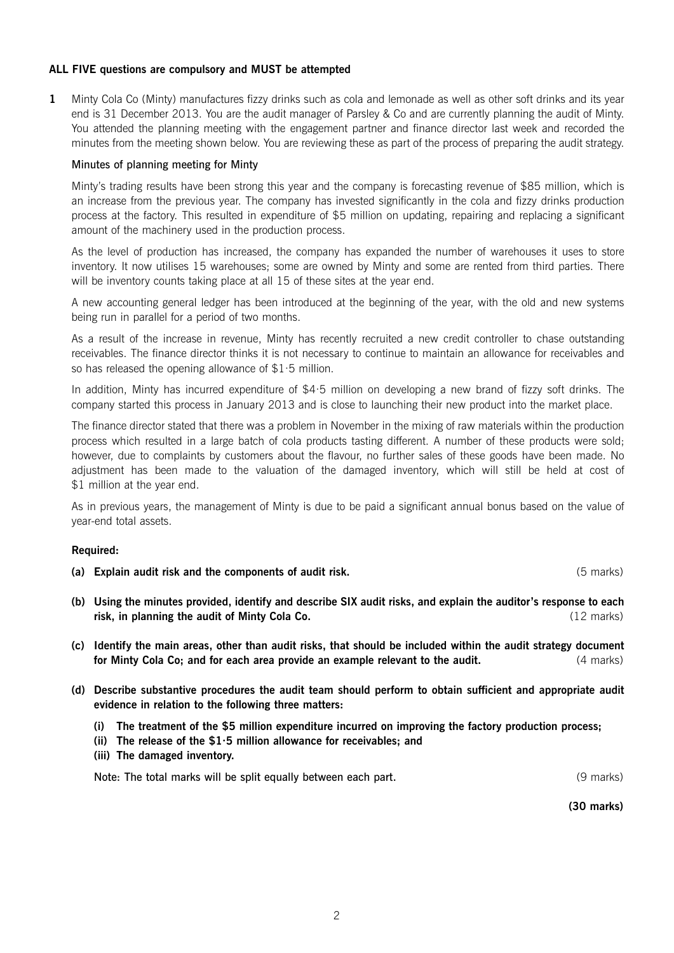# **ALL FIVE questions are compulsory and MUST be attempted**

**1** Minty Cola Co (Minty) manufactures fizzy drinks such as cola and lemonade as well as other soft drinks and its year end is 31 December 2013. You are the audit manager of Parsley & Co and are currently planning the audit of Minty. You attended the planning meeting with the engagement partner and finance director last week and recorded the minutes from the meeting shown below. You are reviewing these as part of the process of preparing the audit strategy.

#### Minutes of planning meeting for Minty

Minty's trading results have been strong this year and the company is forecasting revenue of \$85 million, which is an increase from the previous year. The company has invested significantly in the cola and fizzy drinks production process at the factory. This resulted in expenditure of \$5 million on updating, repairing and replacing a significant amount of the machinery used in the production process.

As the level of production has increased, the company has expanded the number of warehouses it uses to store inventory. It now utilises 15 warehouses; some are owned by Minty and some are rented from third parties. There will be inventory counts taking place at all 15 of these sites at the year end.

A new accounting general ledger has been introduced at the beginning of the year, with the old and new systems being run in parallel for a period of two months.

As a result of the increase in revenue, Minty has recently recruited a new credit controller to chase outstanding receivables. The finance director thinks it is not necessary to continue to maintain an allowance for receivables and so has released the opening allowance of  $$1·5$  million.

In addition, Minty has incurred expenditure of \$4·5 million on developing a new brand of fizzy soft drinks. The company started this process in January 2013 and is close to launching their new product into the market place.

The finance director stated that there was a problem in November in the mixing of raw materials within the production process which resulted in a large batch of cola products tasting different. A number of these products were sold; however, due to complaints by customers about the flavour, no further sales of these goods have been made. No adjustment has been made to the valuation of the damaged inventory, which will still be held at cost of \$1 million at the year end.

As in previous years, the management of Minty is due to be paid a significant annual bonus based on the value of year-end total assets.

#### **Required:**

- **(a) Explain audit risk and the components of audit risk.** (5 marks)
- **(b) Using the minutes provided, identify and describe SIX audit risks, and explain the auditor's response to each risk, in planning the audit of Minty Cola Co.** (12 marks)
- **(c) Identify the main areas, other than audit risks, that should be included within the audit strategy document for Minty Cola Co; and for each area provide an example relevant to the audit.** (4 marks)
- **(d) Describe substantive procedures the audit team should perform to obtain sufficient and appropriate audit evidence in relation to the following three matters:**
	- **(i) The treatment of the \$5 million expenditure incurred on improving the factory production process;**
	- **(ii) The release of the \$1·5 million allowance for receivables; and**
	- **(iii) The damaged inventory.**

Note: The total marks will be split equally between each part. (9 marks) (9 marks)

**(30 marks)**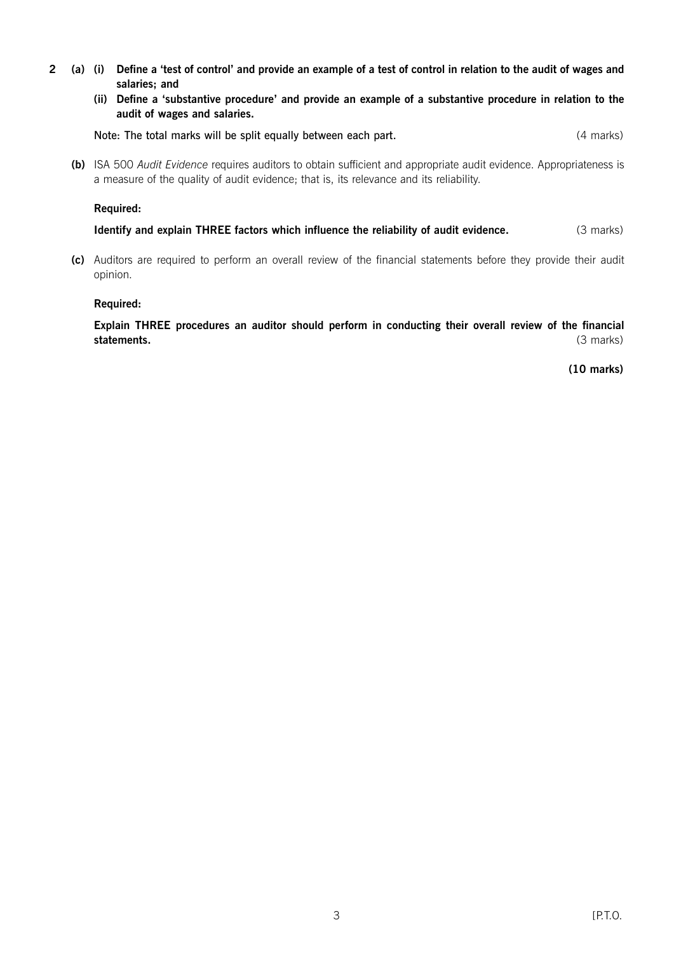- **2 (a) (i) Define a 'test of control' and provide an example of a test of control in relation to the audit of wages and salaries; and** 
	- **(ii) Define a 'substantive procedure' and provide an example of a substantive procedure in relation to the audit of wages and salaries.**

Note: The total marks will be split equally between each part. (4 marks)

**(b)** ISA 500 *Audit Evidence* requires auditors to obtain sufficient and appropriate audit evidence. Appropriateness is a measure of the quality of audit evidence; that is, its relevance and its reliability.

## **Required:**

**Identify and explain THREE factors which influence the reliability of audit evidence.** (3 marks)

**(c)** Auditors are required to perform an overall review of the financial statements before they provide their audit opinion.

#### **Required:**

**Explain THREE procedures an auditor should perform in conducting their overall review of the financial statements.** (3 marks)

**(10 marks)**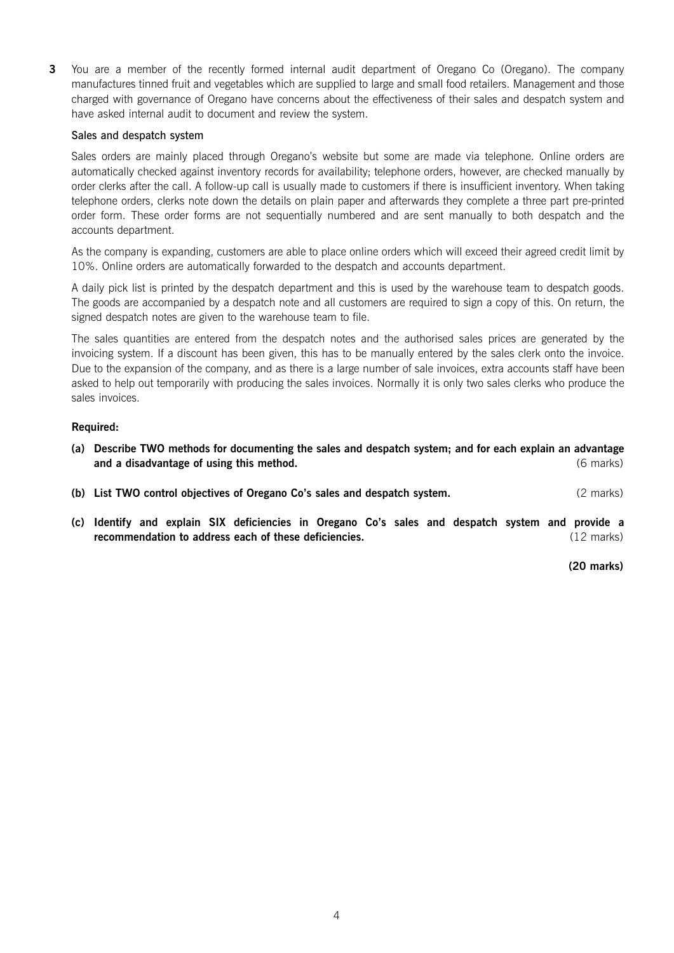**3** You are a member of the recently formed internal audit department of Oregano Co (Oregano). The company manufactures tinned fruit and vegetables which are supplied to large and small food retailers. Management and those charged with governance of Oregano have concerns about the effectiveness of their sales and despatch system and have asked internal audit to document and review the system.

#### Sales and despatch system

Sales orders are mainly placed through Oregano's website but some are made via telephone. Online orders are automatically checked against inventory records for availability; telephone orders, however, are checked manually by order clerks after the call. A follow-up call is usually made to customers if there is insufficient inventory. When taking telephone orders, clerks note down the details on plain paper and afterwards they complete a three part pre-printed order form. These order forms are not sequentially numbered and are sent manually to both despatch and the accounts department.

As the company is expanding, customers are able to place online orders which will exceed their agreed credit limit by 10%. Online orders are automatically forwarded to the despatch and accounts department.

A daily pick list is printed by the despatch department and this is used by the warehouse team to despatch goods. The goods are accompanied by a despatch note and all customers are required to sign a copy of this. On return, the signed despatch notes are given to the warehouse team to file.

The sales quantities are entered from the despatch notes and the authorised sales prices are generated by the invoicing system. If a discount has been given, this has to be manually entered by the sales clerk onto the invoice. Due to the expansion of the company, and as there is a large number of sale invoices, extra accounts staff have been asked to help out temporarily with producing the sales invoices. Normally it is only two sales clerks who produce the sales invoices.

#### **Required:**

- **(a) Describe TWO methods for documenting the sales and despatch system; and for each explain an advantage and a disadvantage of using this method.** (6 marks)
- **(b) List TWO control objectives of Oregano Co's sales and despatch system.** (2 marks)
- **(c) Identify and explain SIX deficiencies in Oregano Co's sales and despatch system and provide a recommendation to address each of these deficiencies.** The state of the state of the state of the state of the state of the state of the state of the state of the state of the state of the state of the state of the state

#### **(20 marks)**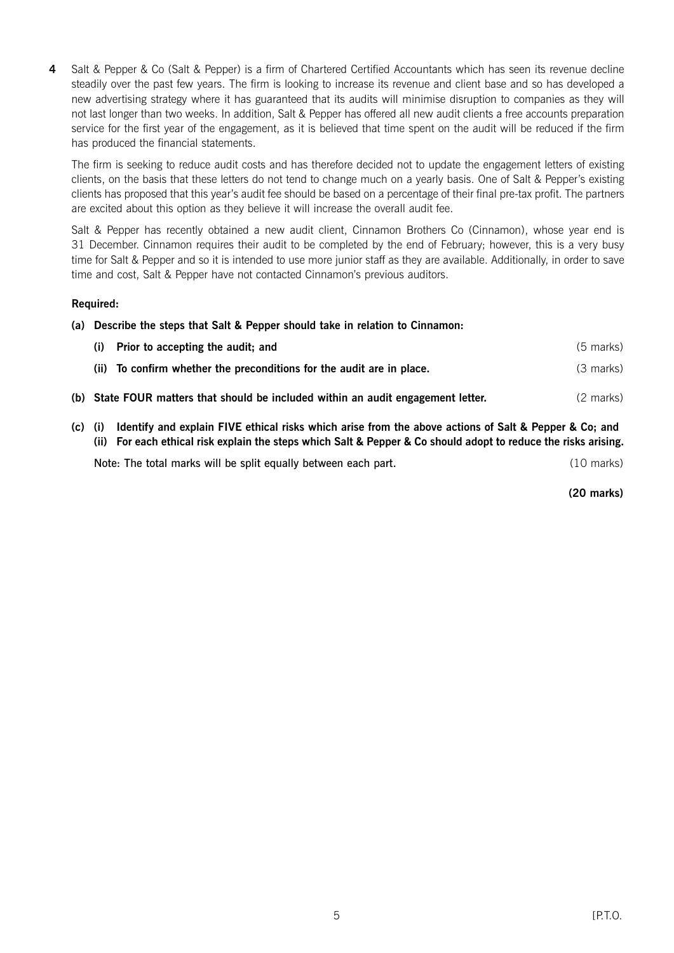**4** Salt & Pepper & Co (Salt & Pepper) is a firm of Chartered Certified Accountants which has seen its revenue decline steadily over the past few years. The firm is looking to increase its revenue and client base and so has developed a new advertising strategy where it has guaranteed that its audits will minimise disruption to companies as they will not last longer than two weeks. In addition, Salt & Pepper has offered all new audit clients a free accounts preparation service for the first year of the engagement, as it is believed that time spent on the audit will be reduced if the firm has produced the financial statements.

The firm is seeking to reduce audit costs and has therefore decided not to update the engagement letters of existing clients, on the basis that these letters do not tend to change much on a yearly basis. One of Salt & Pepper's existing clients has proposed that this year's audit fee should be based on a percentage of their final pre-tax profit. The partners are excited about this option as they believe it will increase the overall audit fee.

Salt & Pepper has recently obtained a new audit client, Cinnamon Brothers Co (Cinnamon), whose year end is 31 December. Cinnamon requires their audit to be completed by the end of February; however, this is a very busy time for Salt & Pepper and so it is intended to use more junior staff as they are available. Additionally, in order to save time and cost, Salt & Pepper have not contacted Cinnamon's previous auditors.

# **Required:**

**(a) Describe the steps that Salt & Pepper should take in relation to Cinnamon:** 

| (i) Prior to accepting the audit; and                                             | $(5 \text{ marks})$ |
|-----------------------------------------------------------------------------------|---------------------|
| (ii) To confirm whether the preconditions for the audit are in place.             | (3 marks)           |
| (b) State FOUR matters that should be included within an audit engagement letter. | (2 marks)           |

**(c) (i) Identify and explain FIVE ethical risks which arise from the above actions of Salt & Pepper & Co; and (ii) For each ethical risk explain the steps which Salt & Pepper & Co should adopt to reduce the risks arising.** Note: The total marks will be split equally between each part. (10 marks) (10 marks)

**(20 marks)**